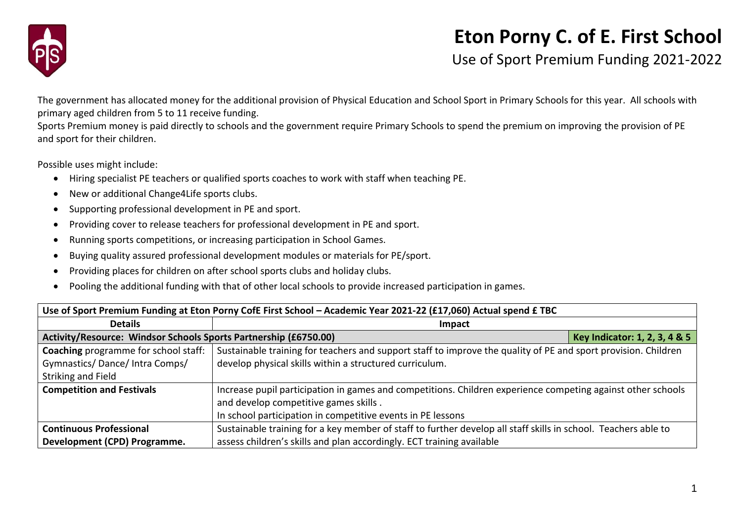

## **Eton Porny C. of E. First School**

Use of Sport Premium Funding 2021-2022

The government has allocated money for the additional provision of Physical Education and School Sport in Primary Schools for this year. All schools with primary aged children from 5 to 11 receive funding.

Sports Premium money is paid directly to schools and the government require Primary Schools to spend the premium on improving the provision of PE and sport for their children.

Possible uses might include:

- Hiring specialist PE teachers or qualified sports coaches to work with staff when teaching PE.
- New or additional Change4Life sports clubs.
- Supporting professional development in PE and sport.
- Providing cover to release teachers for professional development in PE and sport.
- Running sports competitions, or increasing participation in School Games.
- Buying quality assured professional development modules or materials for PE/sport.
- Providing places for children on after school sports clubs and holiday clubs.
- Pooling the additional funding with that of other local schools to provide increased participation in games.

| Use of Sport Premium Funding at Eton Porny CofE First School - Academic Year 2021-22 (£17,060) Actual spend £ TBC |                                                                                                                |                               |  |  |
|-------------------------------------------------------------------------------------------------------------------|----------------------------------------------------------------------------------------------------------------|-------------------------------|--|--|
| <b>Details</b>                                                                                                    | Impact                                                                                                         |                               |  |  |
| Activity/Resource: Windsor Schools Sports Partnership (£6750.00)                                                  |                                                                                                                | Key Indicator: 1, 2, 3, 4 & 5 |  |  |
| <b>Coaching</b> programme for school staff:                                                                       | Sustainable training for teachers and support staff to improve the quality of PE and sport provision. Children |                               |  |  |
| Gymnastics/Dance/Intra Comps/                                                                                     | develop physical skills within a structured curriculum.                                                        |                               |  |  |
| Striking and Field                                                                                                |                                                                                                                |                               |  |  |
| <b>Competition and Festivals</b>                                                                                  | Increase pupil participation in games and competitions. Children experience competing against other schools    |                               |  |  |
|                                                                                                                   | and develop competitive games skills.                                                                          |                               |  |  |
|                                                                                                                   | In school participation in competitive events in PE lessons                                                    |                               |  |  |
| <b>Continuous Professional</b>                                                                                    | Sustainable training for a key member of staff to further develop all staff skills in school. Teachers able to |                               |  |  |
| Development (CPD) Programme.                                                                                      | assess children's skills and plan accordingly. ECT training available                                          |                               |  |  |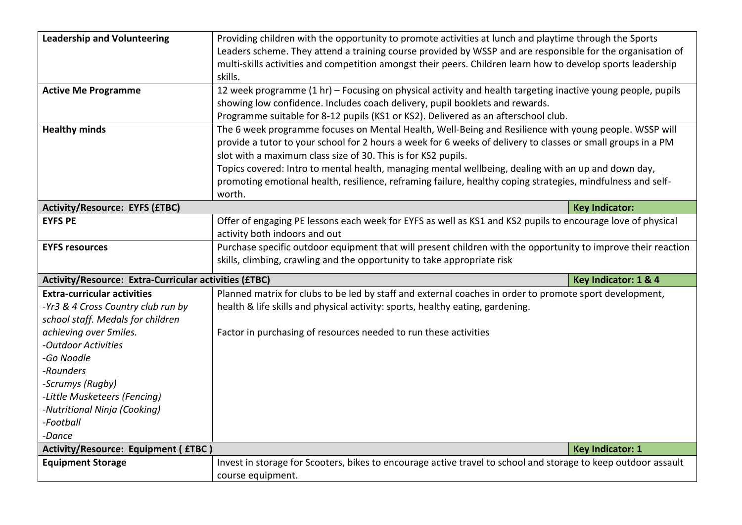| <b>Leadership and Volunteering</b><br><b>Active Me Programme</b>                                                                                                                                                                                                                                     | Providing children with the opportunity to promote activities at lunch and playtime through the Sports<br>Leaders scheme. They attend a training course provided by WSSP and are responsible for the organisation of<br>multi-skills activities and competition amongst their peers. Children learn how to develop sports leadership<br>skills.<br>12 week programme (1 hr) - Focusing on physical activity and health targeting inactive young people, pupils<br>showing low confidence. Includes coach delivery, pupil booklets and rewards. |                         |  |
|------------------------------------------------------------------------------------------------------------------------------------------------------------------------------------------------------------------------------------------------------------------------------------------------------|------------------------------------------------------------------------------------------------------------------------------------------------------------------------------------------------------------------------------------------------------------------------------------------------------------------------------------------------------------------------------------------------------------------------------------------------------------------------------------------------------------------------------------------------|-------------------------|--|
|                                                                                                                                                                                                                                                                                                      | Programme suitable for 8-12 pupils (KS1 or KS2). Delivered as an afterschool club.                                                                                                                                                                                                                                                                                                                                                                                                                                                             |                         |  |
| <b>Healthy minds</b>                                                                                                                                                                                                                                                                                 | The 6 week programme focuses on Mental Health, Well-Being and Resilience with young people. WSSP will<br>provide a tutor to your school for 2 hours a week for 6 weeks of delivery to classes or small groups in a PM<br>slot with a maximum class size of 30. This is for KS2 pupils.<br>Topics covered: Intro to mental health, managing mental wellbeing, dealing with an up and down day,<br>promoting emotional health, resilience, reframing failure, healthy coping strategies, mindfulness and self-<br>worth.                         |                         |  |
| <b>Activity/Resource: EYFS (£TBC)</b>                                                                                                                                                                                                                                                                |                                                                                                                                                                                                                                                                                                                                                                                                                                                                                                                                                | <b>Key Indicator:</b>   |  |
| <b>EYFS PE</b>                                                                                                                                                                                                                                                                                       | Offer of engaging PE lessons each week for EYFS as well as KS1 and KS2 pupils to encourage love of physical<br>activity both indoors and out                                                                                                                                                                                                                                                                                                                                                                                                   |                         |  |
| <b>EYFS resources</b>                                                                                                                                                                                                                                                                                | Purchase specific outdoor equipment that will present children with the opportunity to improve their reaction<br>skills, climbing, crawling and the opportunity to take appropriate risk                                                                                                                                                                                                                                                                                                                                                       |                         |  |
| Activity/Resource: Extra-Curricular activities (£TBC)                                                                                                                                                                                                                                                |                                                                                                                                                                                                                                                                                                                                                                                                                                                                                                                                                | Key Indicator: 1 & 4    |  |
| <b>Extra-curricular activities</b><br>-Yr3 & 4 Cross Country club run by<br>school staff. Medals for children<br>achieving over 5miles.<br>-Outdoor Activities<br>-Go Noodle<br>-Rounders<br>-Scrumys (Rugby)<br>-Little Musketeers (Fencing)<br>-Nutritional Ninja (Cooking)<br>-Football<br>-Dance | Planned matrix for clubs to be led by staff and external coaches in order to promote sport development,<br>health & life skills and physical activity: sports, healthy eating, gardening.<br>Factor in purchasing of resources needed to run these activities                                                                                                                                                                                                                                                                                  |                         |  |
| Activity/Resource: Equipment ( £TBC )                                                                                                                                                                                                                                                                |                                                                                                                                                                                                                                                                                                                                                                                                                                                                                                                                                | <b>Key Indicator: 1</b> |  |
| <b>Equipment Storage</b>                                                                                                                                                                                                                                                                             | Invest in storage for Scooters, bikes to encourage active travel to school and storage to keep outdoor assault<br>course equipment.                                                                                                                                                                                                                                                                                                                                                                                                            |                         |  |